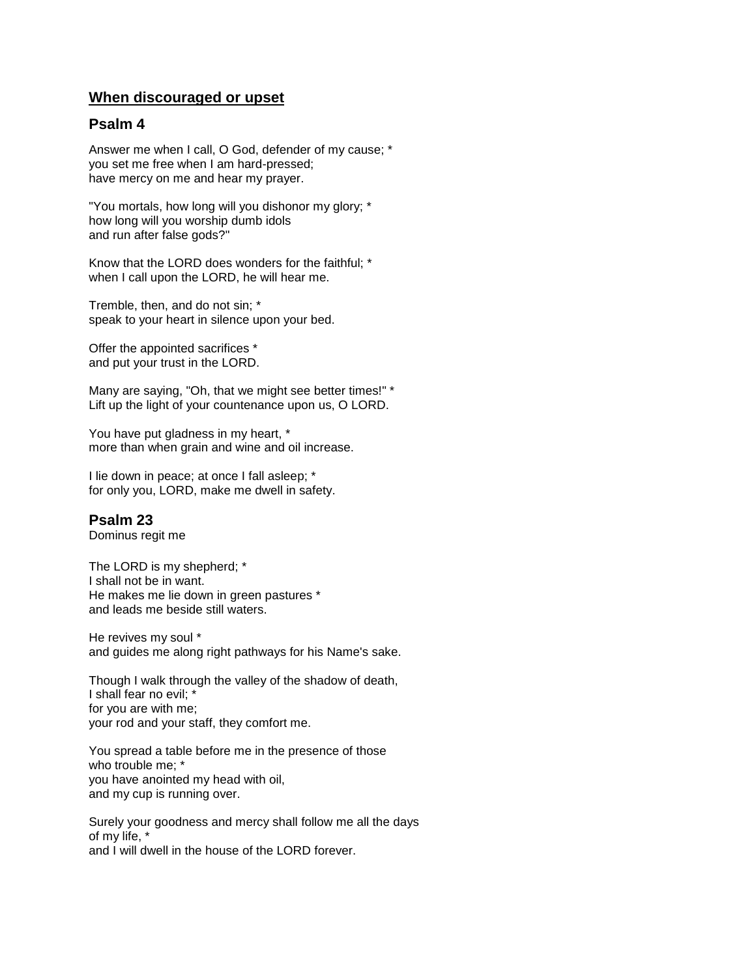## **When discouraged or upset**

### **Psalm 4**

Answer me when I call, O God, defender of my cause; \* you set me free when I am hard-pressed; have mercy on me and hear my prayer.

"You mortals, how long will you dishonor my glory; \* how long will you worship dumb idols and run after false gods?"

Know that the LORD does wonders for the faithful; \* when I call upon the LORD, he will hear me.

Tremble, then, and do not sin; \* speak to your heart in silence upon your bed.

Offer the appointed sacrifices \* and put your trust in the LORD.

Many are saying, "Oh, that we might see better times!" \* Lift up the light of your countenance upon us, O LORD.

You have put gladness in my heart, \* more than when grain and wine and oil increase.

I lie down in peace; at once I fall asleep; \* for only you, LORD, make me dwell in safety.

# **Psalm 23**

Dominus regit me

The LORD is my shepherd; \* I shall not be in want. He makes me lie down in green pastures \* and leads me beside still waters.

He revives my soul \* and guides me along right pathways for his Name's sake.

Though I walk through the valley of the shadow of death, I shall fear no evil; \* for you are with me; your rod and your staff, they comfort me.

You spread a table before me in the presence of those who trouble me; \* you have anointed my head with oil, and my cup is running over.

Surely your goodness and mercy shall follow me all the days of my life, \* and I will dwell in the house of the LORD forever.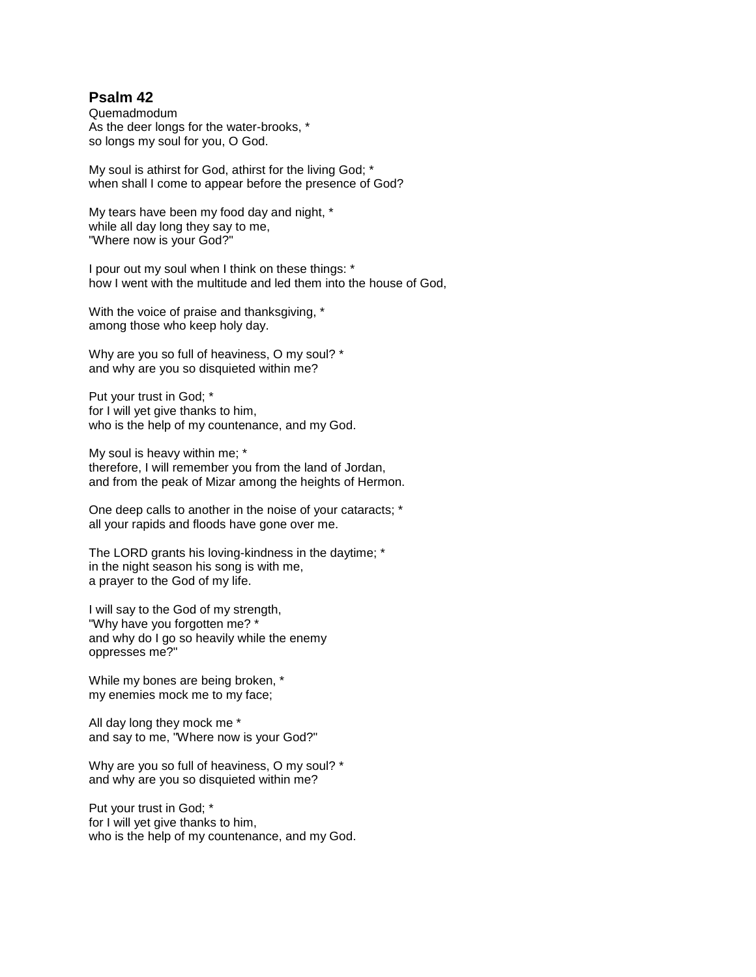## **Psalm 42**

Quemadmodum As the deer longs for the water-brooks, \* so longs my soul for you, O God.

My soul is athirst for God, athirst for the living God; \* when shall I come to appear before the presence of God?

My tears have been my food day and night, \* while all day long they say to me, "Where now is your God?"

I pour out my soul when I think on these things: \* how I went with the multitude and led them into the house of God,

With the voice of praise and thanksgiving, \* among those who keep holy day.

Why are you so full of heaviness, O my soul? \* and why are you so disquieted within me?

Put your trust in God; \* for I will yet give thanks to him, who is the help of my countenance, and my God.

My soul is heavy within me; \* therefore, I will remember you from the land of Jordan, and from the peak of Mizar among the heights of Hermon.

One deep calls to another in the noise of your cataracts; \* all your rapids and floods have gone over me.

The LORD grants his loving-kindness in the daytime; \* in the night season his song is with me, a prayer to the God of my life.

I will say to the God of my strength, "Why have you forgotten me? \* and why do I go so heavily while the enemy oppresses me?"

While my bones are being broken, \* my enemies mock me to my face;

All day long they mock me \* and say to me, "Where now is your God?"

Why are you so full of heaviness, O my soul? \* and why are you so disquieted within me?

Put your trust in God; \* for I will yet give thanks to him, who is the help of my countenance, and my God.